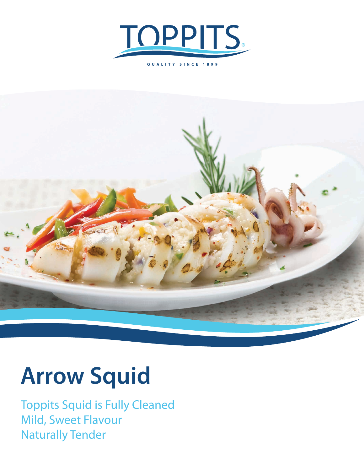



## **Arrow Squid**

Toppits Squid is Fully Cleaned Mild, Sweet Flavour Naturally Tender